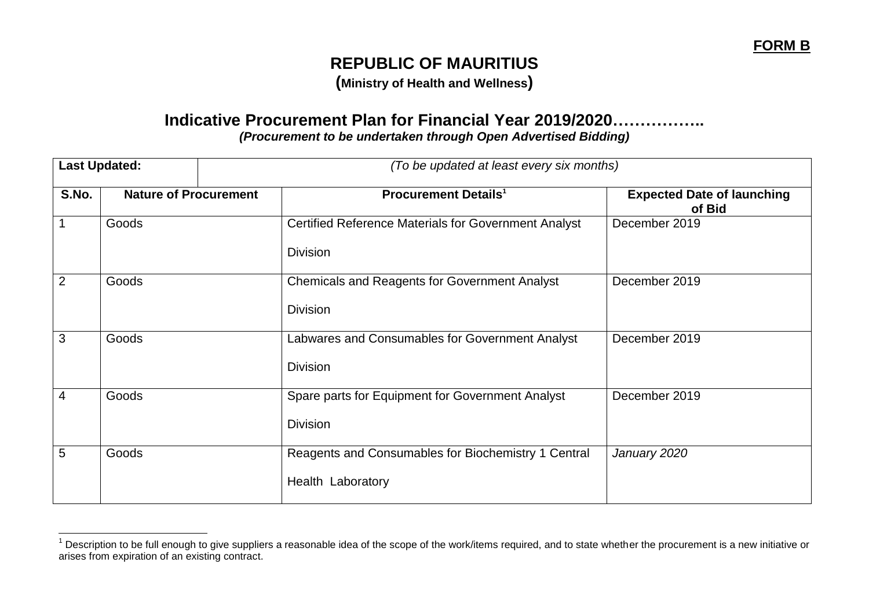## **REPUBLIC OF MAURITIUS**

**(Ministry of Health and Wellness)**

## **Indicative Procurement Plan for Financial Year 2019/2020……………..** *(Procurement to be undertaken through Open Advertised Bidding)*

|                | <b>Last Updated:</b>         | (To be updated at least every six months)                   |                                             |  |
|----------------|------------------------------|-------------------------------------------------------------|---------------------------------------------|--|
| S.No.          | <b>Nature of Procurement</b> | <b>Procurement Details<sup>1</sup></b>                      | <b>Expected Date of launching</b><br>of Bid |  |
|                | Goods                        | <b>Certified Reference Materials for Government Analyst</b> | December 2019                               |  |
|                |                              | <b>Division</b>                                             |                                             |  |
| $\overline{2}$ | Goods                        | <b>Chemicals and Reagents for Government Analyst</b>        | December 2019                               |  |
|                |                              | <b>Division</b>                                             |                                             |  |
| 3              | Goods                        | Labwares and Consumables for Government Analyst             | December 2019                               |  |
|                |                              | <b>Division</b>                                             |                                             |  |
| 4              | Goods                        | Spare parts for Equipment for Government Analyst            | December 2019                               |  |
|                |                              | <b>Division</b>                                             |                                             |  |
| 5              | Goods                        | Reagents and Consumables for Biochemistry 1 Central         | January 2020                                |  |
|                |                              | Health Laboratory                                           |                                             |  |

 $\overline{a}$ 

 $1$  Description to be full enough to give suppliers a reasonable idea of the scope of the work/items required, and to state whether the procurement is a new initiative or arises from expiration of an existing contract.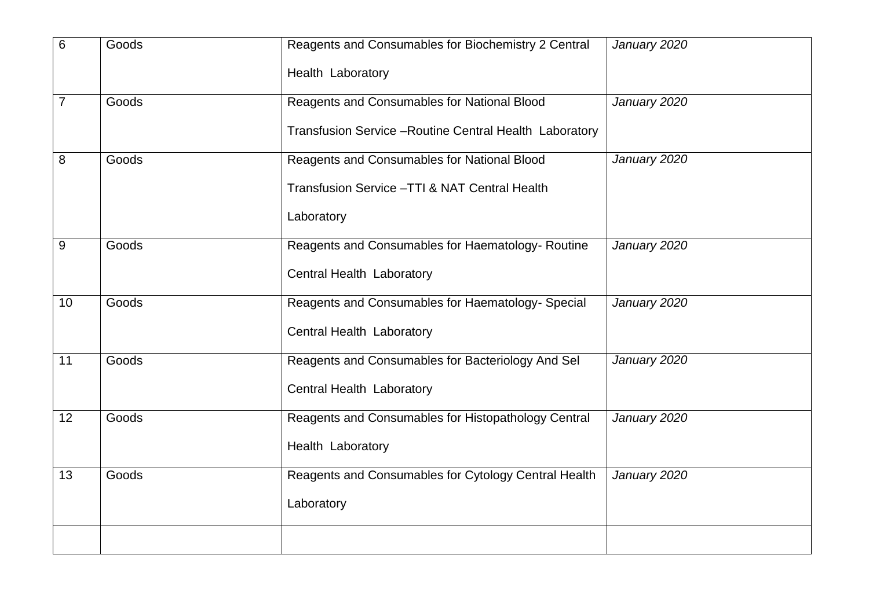| 6              | Goods | Reagents and Consumables for Biochemistry 2 Central     | January 2020 |
|----------------|-------|---------------------------------------------------------|--------------|
|                |       | Health Laboratory                                       |              |
| $\overline{7}$ | Goods | Reagents and Consumables for National Blood             | January 2020 |
|                |       | Transfusion Service - Routine Central Health Laboratory |              |
| 8              | Goods | Reagents and Consumables for National Blood             | January 2020 |
|                |       | Transfusion Service - TTI & NAT Central Health          |              |
|                |       | Laboratory                                              |              |
| $9\,$          | Goods | Reagents and Consumables for Haematology-Routine        | January 2020 |
|                |       | Central Health Laboratory                               |              |
| 10             | Goods | Reagents and Consumables for Haematology- Special       | January 2020 |
|                |       | Central Health Laboratory                               |              |
| 11             | Goods | Reagents and Consumables for Bacteriology And Sel       | January 2020 |
|                |       | Central Health Laboratory                               |              |
| 12             | Goods | Reagents and Consumables for Histopathology Central     | January 2020 |
|                |       | Health Laboratory                                       |              |
| 13             | Goods | Reagents and Consumables for Cytology Central Health    | January 2020 |
|                |       | Laboratory                                              |              |
|                |       |                                                         |              |